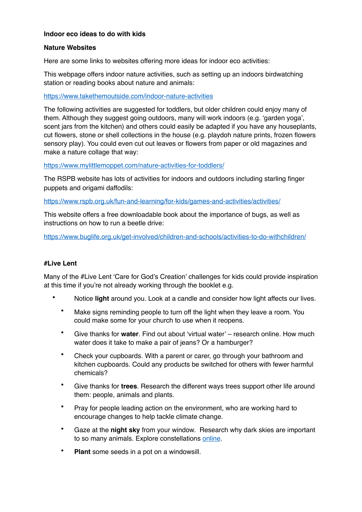# **Indoor eco ideas to do with kids**

## **Nature Websites**

Here are some links to websites offering more ideas for indoor eco activities:

This webpage offers indoor nature activities, such as setting up an indoors birdwatching station or reading books about nature and animals:

## <https://www.takethemoutside.com/indoor-nature-activities>

The following activities are suggested for toddlers, but older children could enjoy many of them. Although they suggest going outdoors, many will work indoors (e.g. 'garden yoga', scent jars from the kitchen) and others could easily be adapted if you have any houseplants, cut flowers, stone or shell collections in the house (e.g. playdoh nature prints, frozen flowers sensory play). You could even cut out leaves or flowers from paper or old magazines and make a nature collage that way:

## <https://www.mylittlemoppet.com/nature-activities-for-toddlers/>

The RSPB website has lots of activities for indoors and outdoors including starling finger puppets and origami daffodils:

<https://www.rspb.org.uk/fun-and-learning/for-kids/games-and-activities/activities/>

This website offers a free downloadable book about the importance of bugs, as well as instructions on how to run a beetle drive:

<https://www.buglife.org.uk/get-involved/children-and-schools/activities-to-do-withchildren/>

## **#Live Lent**

Many of the #Live Lent 'Care for God's Creation' challenges for kids could provide inspiration at this time if you're not already working through the booklet e.g.

- Notice **light** around you. Look at a candle and consider how light affects our lives.
	- Make signs reminding people to turn off the light when they leave a room. You could make some for your church to use when it reopens.
	- Give thanks for **water**. Find out about 'virtual water' research online. How much water does it take to make a pair of jeans? Or a hamburger?
	- Check your cupboards. With a parent or carer, go through your bathroom and kitchen cupboards. Could any products be switched for others with fewer harmful chemicals?
	- Give thanks for **trees**. Research the different ways trees support other life around them: people, animals and plants.
	- Pray for people leading action on the environment, who are working hard to encourage changes to help tackle climate change.
	- Gaze at the **night sky** from your window. Research why dark skies are important to so many animals. Explore constellations [online](https://stellarium-web.org/).
	- **Plant** some seeds in a pot on a windowsill.